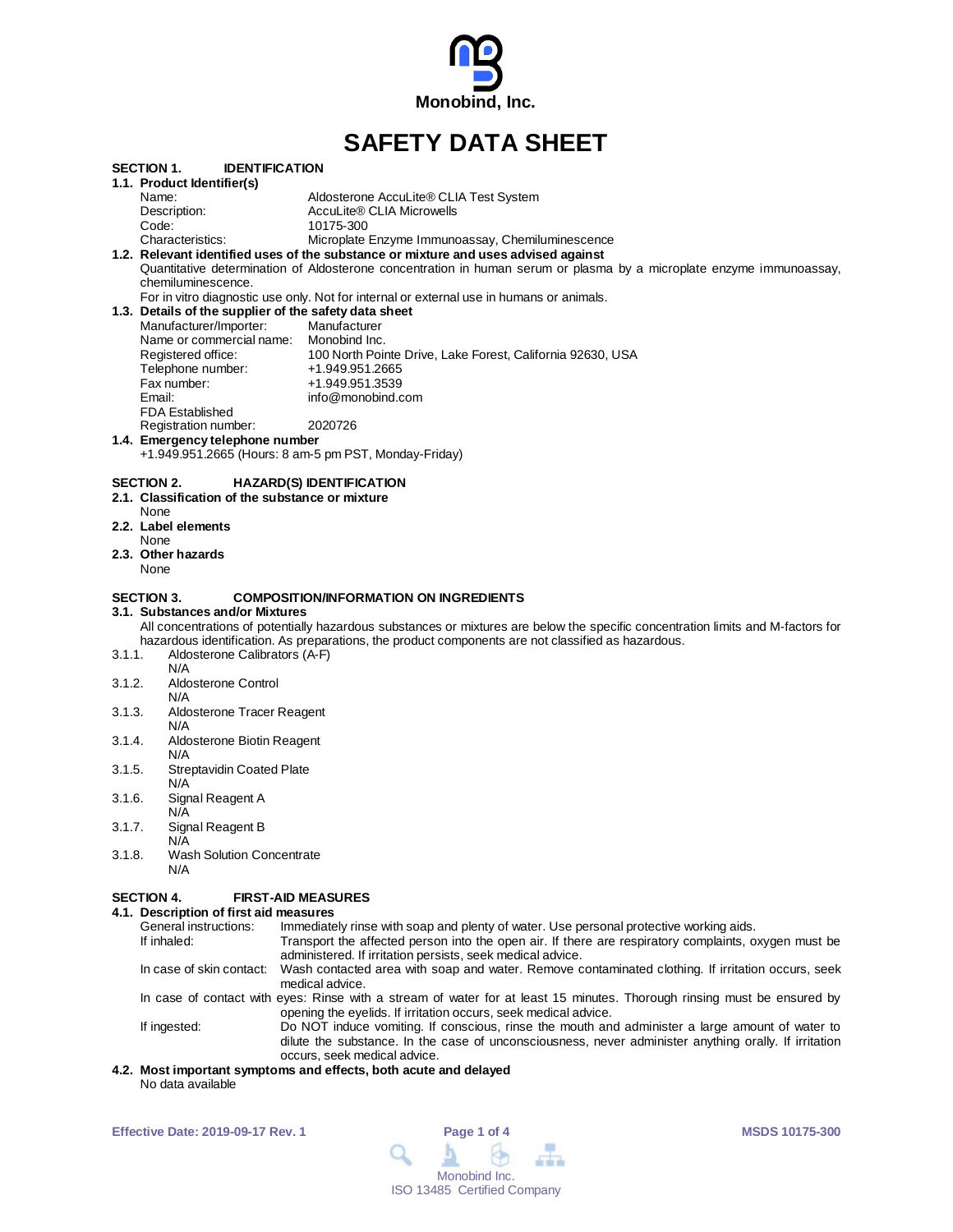

# **SAFETY DATA SHEET**

|        |                                                       | .<br>PAIA VIILL                                                                                                                  |
|--------|-------------------------------------------------------|----------------------------------------------------------------------------------------------------------------------------------|
|        | <b>IDENTIFICATION</b><br>SECTION 1.                   |                                                                                                                                  |
|        | 1.1. Product Identifier(s)                            |                                                                                                                                  |
|        | Name:                                                 | Aldosterone AccuLite® CLIA Test System                                                                                           |
|        | Description:                                          | AccuLite® CLIA Microwells                                                                                                        |
|        | Code:                                                 | 10175-300                                                                                                                        |
|        | Characteristics:                                      | Microplate Enzyme Immunoassay, Chemiluminescence                                                                                 |
|        |                                                       | 1.2. Relevant identified uses of the substance or mixture and uses advised against                                               |
|        |                                                       | Quantitative determination of Aldosterone concentration in human serum or plasma by a microplate enzyme immunoassay,             |
|        | chemiluminescence.                                    |                                                                                                                                  |
|        |                                                       | For in vitro diagnostic use only. Not for internal or external use in humans or animals.                                         |
|        | 1.3. Details of the supplier of the safety data sheet |                                                                                                                                  |
|        | Manufacturer/Importer:                                | Manufacturer                                                                                                                     |
|        | Name or commercial name: Monobind Inc.                |                                                                                                                                  |
|        | Registered office:                                    | 100 North Pointe Drive, Lake Forest, California 92630, USA                                                                       |
|        | Telephone number:                                     | +1.949.951.2665                                                                                                                  |
|        | Fax number:                                           | +1.949.951.3539                                                                                                                  |
|        | Email:                                                | info@monobind.com                                                                                                                |
|        | <b>FDA Established</b>                                |                                                                                                                                  |
|        | Registration number:                                  | 2020726                                                                                                                          |
|        | 1.4. Emergency telephone number                       |                                                                                                                                  |
|        |                                                       | +1.949.951.2665 (Hours: 8 am-5 pm PST, Monday-Friday)                                                                            |
|        |                                                       |                                                                                                                                  |
|        | SECTION 2.                                            | <b>HAZARD(S) IDENTIFICATION</b>                                                                                                  |
|        | 2.1. Classification of the substance or mixture       |                                                                                                                                  |
|        | None                                                  |                                                                                                                                  |
|        | 2.2. Label elements                                   |                                                                                                                                  |
|        | None                                                  |                                                                                                                                  |
|        | 2.3. Other hazards                                    |                                                                                                                                  |
|        | None                                                  |                                                                                                                                  |
|        |                                                       |                                                                                                                                  |
|        | SECTION 3.                                            | <b>COMPOSITION/INFORMATION ON INGREDIENTS</b>                                                                                    |
|        | 3.1. Substances and/or Mixtures                       |                                                                                                                                  |
|        |                                                       | All concentrations of potentially hazardous substances or mixtures are below the specific concentration limits and M-factors for |
|        |                                                       | hazardous identification. As preparations, the product components are not classified as hazardous.                               |
| 3.1.1. | Aldosterone Calibrators (A-F)                         |                                                                                                                                  |
|        | N/A                                                   |                                                                                                                                  |
| 3.1.2. | Aldosterone Control                                   |                                                                                                                                  |
|        | N/A                                                   |                                                                                                                                  |
| 3.1.3. | Aldosterone Tracer Reagent                            |                                                                                                                                  |
|        | N/A                                                   |                                                                                                                                  |
| 3.1.4. | Aldosterone Biotin Reagent                            |                                                                                                                                  |
|        | N/A                                                   |                                                                                                                                  |
| 3.1.5. | <b>Streptavidin Coated Plate</b>                      |                                                                                                                                  |
|        | N/A                                                   |                                                                                                                                  |
| 3.1.6. | Signal Reagent A                                      |                                                                                                                                  |
|        | N/A                                                   |                                                                                                                                  |
| 3.1.7. | Signal Reagent B                                      |                                                                                                                                  |
|        | N/A                                                   |                                                                                                                                  |
| 3.1.8. | <b>Wash Solution Concentrate</b>                      |                                                                                                                                  |
|        | N/A                                                   |                                                                                                                                  |
|        |                                                       |                                                                                                                                  |
|        | <b>SECTION 4.</b>                                     | <b>FIRST-AID MEASURES</b>                                                                                                        |
|        | 4.1. Description of first aid measures                |                                                                                                                                  |
|        | General instructions:                                 | Immediately rinse with soap and plenty of water. Use personal protective working aids.                                           |
|        | If inhaled:                                           | Transport the affected person into the open air. If there are respiratory complaints, oxygen must be                             |

administered. If irritation persists, seek medical advice. In case of skin contact: Wash contacted area with soap and water. Remove contaminated clothing. If irritation occurs, seek medical advice. In case of contact with eyes: Rinse with a stream of water for at least 15 minutes. Thorough rinsing must be ensured by

opening the eyelids. If irritation occurs, seek medical advice. If ingested: Do NOT induce vomiting. If conscious, rinse the mouth and administer a large amount of water to dilute the substance. In the case of unconsciousness, never administer anything orally. If irritation occurs, seek medical advice.

### **4.2. Most important symptoms and effects, both acute and delayed** No data available

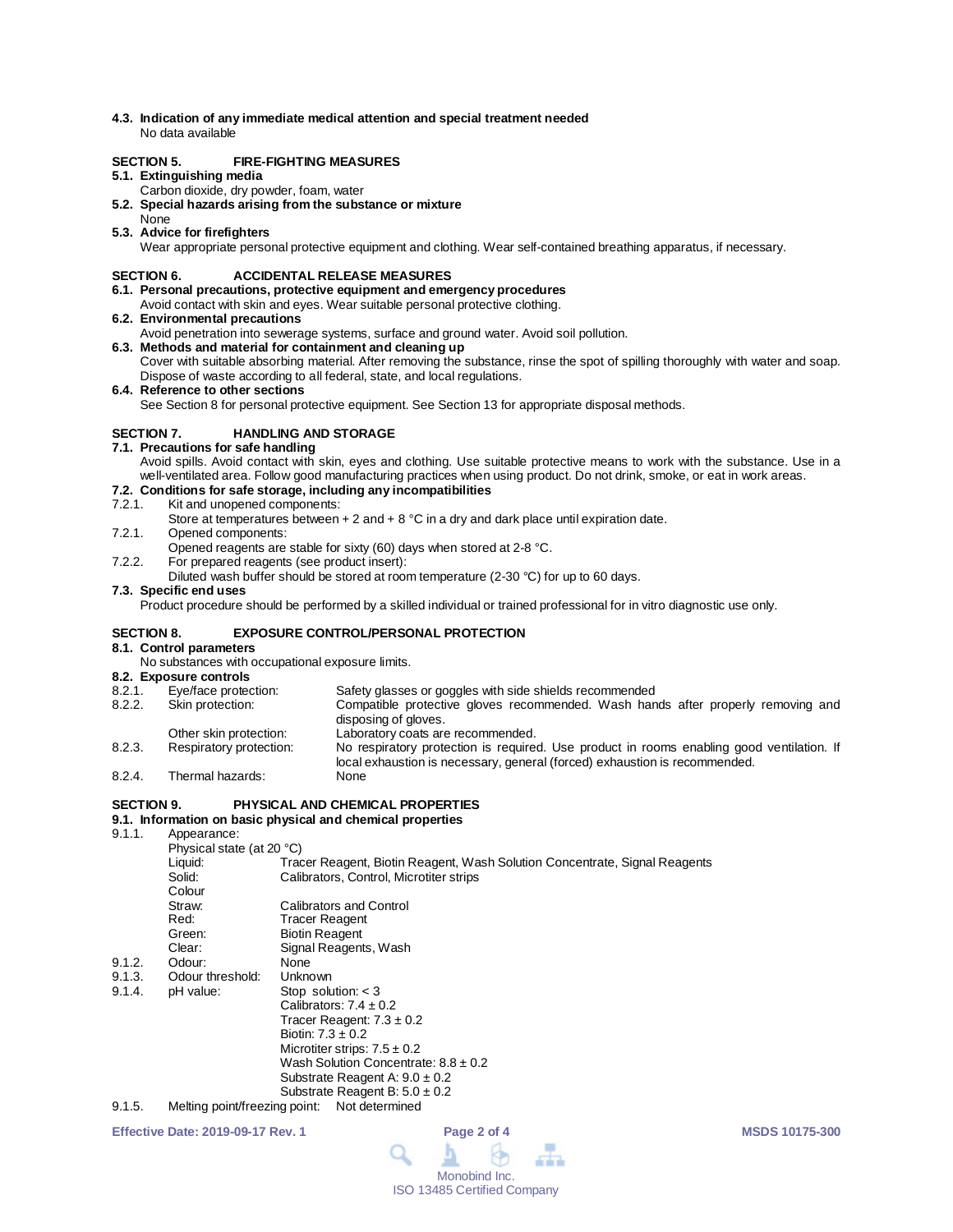**4.3. Indication of any immediate medical attention and special treatment needed** No data available

## **SECTION 5. FIRE-FIGHTING MEASURES**

#### **5.1. Extinguishing media**

- Carbon dioxide, dry powder, foam, water
- **5.2. Special hazards arising from the substance or mixture**
- None
- **5.3. Advice for firefighters** Wear appropriate personal protective equipment and clothing. Wear self-contained breathing apparatus, if necessary.

### **SECTION 6. ACCIDENTAL RELEASE MEASURES**

- **6.1. Personal precautions, protective equipment and emergency procedures**
- Avoid contact with skin and eyes. Wear suitable personal protective clothing.
- **6.2. Environmental precautions**
- Avoid penetration into sewerage systems, surface and ground water. Avoid soil pollution.
- **6.3. Methods and material for containment and cleaning up** Cover with suitable absorbing material. After removing the substance, rinse the spot of spilling thoroughly with water and soap. Dispose of waste according to all federal, state, and local regulations.

**6.4. Reference to other sections** See Section 8 for personal protective equipment. See Section 13 for appropriate disposal methods.

## **SECTION 7. HANDLING AND STORAGE**

- **7.1. Precautions for safe handling**
- Avoid spills. Avoid contact with skin, eyes and clothing. Use suitable protective means to work with the substance. Use in a well-ventilated area. Follow good manufacturing practices when using product. Do not drink, smoke, or eat in work areas.

# **7.2. Conditions for safe storage, including any incompatibilities**

#### Kit and unopened components:

- Store at temperatures between  $+ 2$  and  $+ 8$  °C in a dry and dark place until expiration date.
- 7.2.1. Opened components:
- Opened reagents are stable for sixty (60) days when stored at 2-8 °C.
- 7.2.2. For prepared reagents (see product insert):
	- Diluted wash buffer should be stored at room temperature (2-30 °C) for up to 60 days.

### **7.3. Specific end uses**

Product procedure should be performed by a skilled individual or trained professional for in vitro diagnostic use only.

### **SECTION 8. EXPOSURE CONTROL/PERSONAL PROTECTION**

#### **8.1. Control parameters**

No substances with occupational exposure limits.

# **8.2. Exposure controls**

8.2.1. Eye/face protection: Safety glasses or goggles with side shields recommended<br>8.2.2. Skin protection: Compatible protective gloves recommended. Wash han Skin protection: Compatible protective gloves recommended. Wash hands after properly removing and disposing of gloves. Other skin protection: Laboratory coats are recommended.<br>
Respiratory protection: No respiratory protection is require 8.2.3. Respiratory protection: No respiratory protection is required. Use product in rooms enabling good ventilation. If local exhaustion is necessary, general (forced) exhaustion is recommended. 8.2.4. Thermal hazards:

# **SECTION 9. PHYSICAL AND CHEMICAL PROPERTIES**

# **9.1. Information on basic physical and chemical properties**

Appearance:

|        | Physical state (at 20 °C) |                                                                            |  |  |
|--------|---------------------------|----------------------------------------------------------------------------|--|--|
|        | Liquid:                   | Tracer Reagent, Biotin Reagent, Wash Solution Concentrate, Signal Reagents |  |  |
|        | Solid:                    | Calibrators, Control, Microtiter strips                                    |  |  |
|        | Colour                    |                                                                            |  |  |
|        | Straw:                    | <b>Calibrators and Control</b>                                             |  |  |
|        | Red:                      | Tracer Reagent                                                             |  |  |
|        | Green:                    | <b>Biotin Reagent</b>                                                      |  |  |
|        | Clear:                    | Signal Reagents, Wash                                                      |  |  |
| 9.1.2. | Odour:                    | <b>None</b>                                                                |  |  |
| 9.1.3. | Odour threshold:          | Unknown                                                                    |  |  |
| 9.1.4. | pH value:                 | Stop solution: $<$ 3                                                       |  |  |
|        |                           | Calibrators: $7.4 \pm 0.2$                                                 |  |  |
|        |                           | Tracer Reagent: $7.3 \pm 0.2$                                              |  |  |
|        |                           | Biotin: $7.3 \pm 0.2$                                                      |  |  |
|        |                           | Microtiter strips: $7.5 \pm 0.2$                                           |  |  |
|        |                           | Wash Solution Concentrate: $8.8 \pm 0.2$                                   |  |  |
|        |                           | Substrate Reagent A: $9.0 \pm 0.2$                                         |  |  |
|        |                           | Substrate Reagent B: $5.0 \pm 0.2$                                         |  |  |
| 01 F   |                           | Molting point/frogripa point: Not determined                               |  |  |

9.1.5. Melting point/freezing point: Not determined

**Effective Date: 2019-09-17 Rev. 1 Page 2 of 4 MSDS 10175-300**

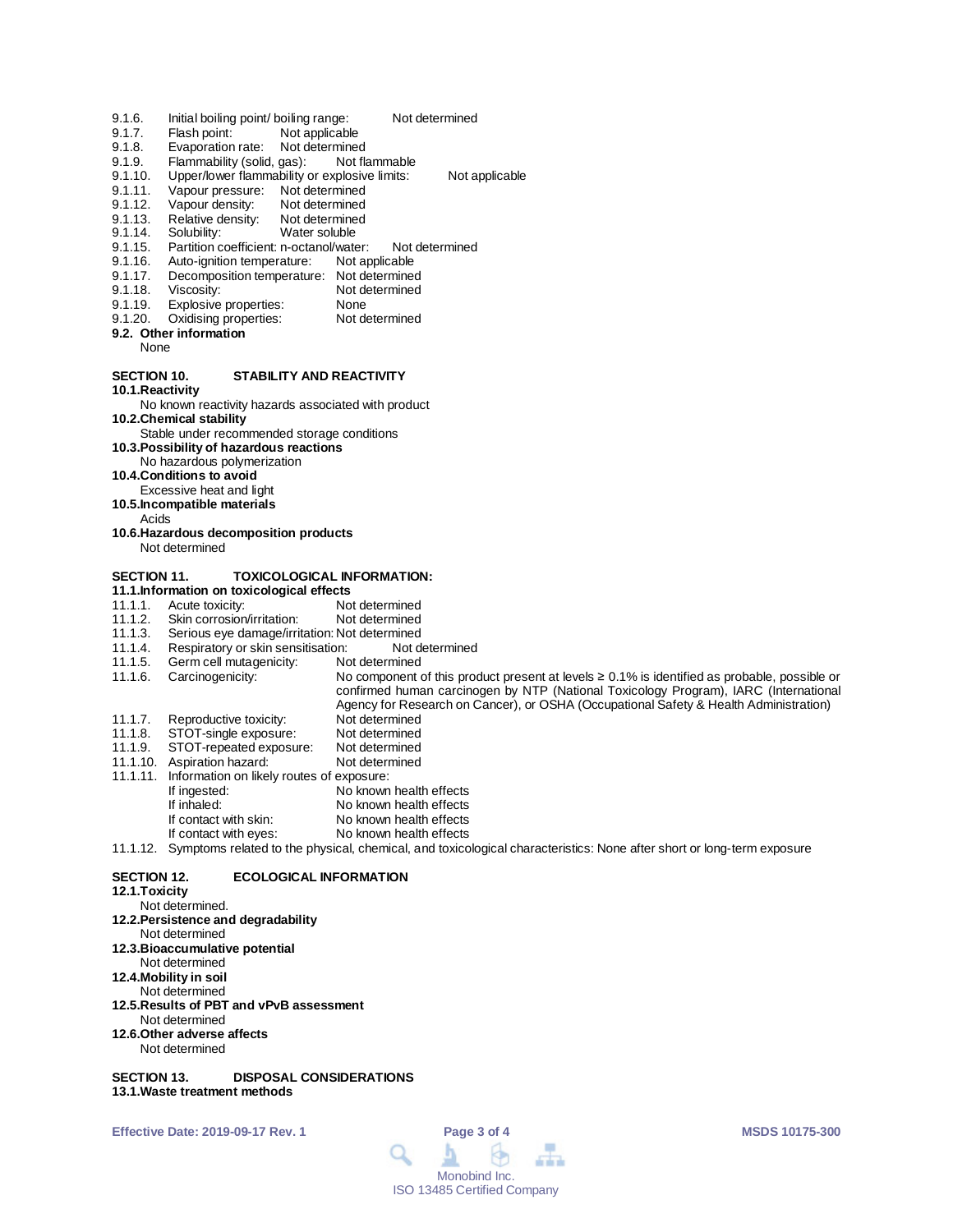- 9.1.6. Initial boiling point/ boiling range: Not determined<br>9.1.7. Flash point: Not applicable
- 9.1.7. Flash point: Not applicable<br>9.1.8. Evaporation rate: Not determined
- 9.1.8. Evaporation rate: Not determined<br>9.1.9. Flammability (solid. gas): Not flammable
- Flammability (solid, gas):
- 9.1.10. Upper/lower flammability or explosive limits: Not applicable<br>9.1.11. Vapour pressure: Not determined
- 9.1.11. Vapour pressure: Not determined<br>9.1.12. Vapour density: Not determined
- 9.1.12. Vapour density: Not determined<br>9.1.13. Relative density: Not determined
- 9.1.13. Relative density: Not determine<br>9.1.14. Solubility: Water soluble
- 9.1.14. Solubility:<br>9.1.15. Partition c
- 9.1.15. Partition coefficient: n-octanol/water: Not determined<br>9.1.16. Auto-ignition temperature: Not applicable
- 9.1.16. Auto-ignition temperature:<br>9.1.17. Decomposition temperature
- 9.1.17. Decomposition temperature: Not determined<br>9.1.18. Viscosity: Not determined
- 9.1.18. Viscosity: Not determined<br>9.1.19. Explosive properties: None
- 9.1.19. Explosive properties: None<br>9.1.20. Oxidising properties: Not determined Oxidising properties:
- **9.2. Other information**
	- None

## **SECTION 10. STABILITY AND REACTIVITY**

**10.1.Reactivity**

No known reactivity hazards associated with product **10.2.Chemical stability**

- Stable under recommended storage conditions
- **10.3.Possibility of hazardous reactions**
- No hazardous polymerization
- **10.4.Conditions to avoid**
- Excessive heat and light
- **10.5.Incompatible materials**
	- Acids
- **10.6.Hazardous decomposition products** Not determined

## **SECTION 11. TOXICOLOGICAL INFORMATION:**

- **11.1.Information on toxicological effects**
- 11.1.1. Acute toxicity: Not determined<br>11.1.2. Skin corrosion/irritation: Not determined
- 11.1.2. Skin corrosion/irritation:<br>11.1.3. Serious eve damage/irri
- 
- 11.1.3. Serious eye damage/irritation: Not determined<br>11.1.4. Respiratory or skin sensitisation: Not determined 11.1.4. Respiratory or skin sensitisation: Not d<br>11.1.5. Germ cell mutagenicity: Not determined
- 11.1.5. Germ cell mutagenicity:<br>11.1.6. Carcinogenicity:
- No component of this product present at levels ≥ 0.1% is identified as probable, possible or confirmed human carcinogen by NTP (National Toxicology Program), IARC (International Agency for Research on Cancer), or OSHA (Occupational Safety & Health Administration)
- 11.1.7. Reproductive toxicity: Not determined<br>11.1.8. STOT-single exposure: Not determined
- 11.1.8. STOT-single exposure: Not determined<br>11.1.9. STOT-repeated exposure: Not determined
- STOT-repeated exposure: Not determined<br>Aspiration hazard: Not determined
- 11.1.10. Bibliography 11.1.10. Aspiration hazard:
- 11.1.11. Information on likely routes of exposure:
- If ingested: No known health effects<br>
If inhaled: No known health effects
- If inhaled: No known health effects<br>If contact with skin: No known health effects No known health effects
	-
	- If contact with eyes: No known health effects
- 11.1.12. Symptoms related to the physical, chemical, and toxicological characteristics: None after short or long-term exposure

### **SECTION 12. ECOLOGICAL INFORMATION**

#### **12.1.Toxicity**

Not determined.

- **12.2.Persistence and degradability**
- Not determined
- **12.3.Bioaccumulative potential**
- Not determined
- **12.4.Mobility in soil** Not determined
- **12.5.Results of PBT and vPvB assessment**
- Not determined
- **12.6.Other adverse affects**
- Not determined

**SECTION 13. DISPOSAL CONSIDERATIONS 13.1.Waste treatment methods**